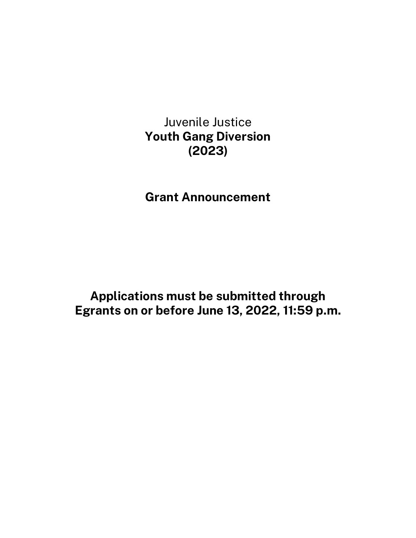Juvenile Justice **Youth Gang Diversion (2023)**

**Grant Announcement**

**Applications must be submitted through Egrants on or before June 13, 2022, 11:59 p.m.**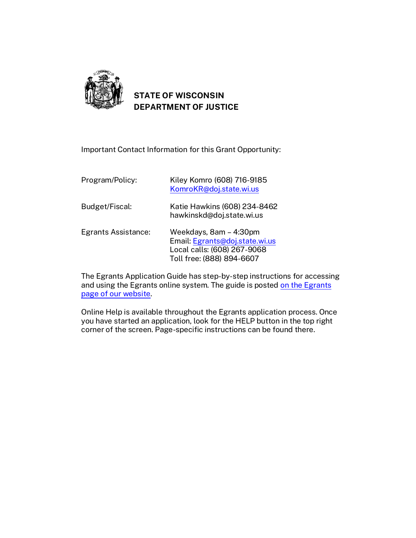

# **STATE OF WISCONSIN DEPARTMENT OF JUSTICE**

Important Contact Information for this Grant Opportunity:

| Program/Policy:     | Kiley Komro (608) 716-9185<br>KomroKR@doj.state.wi.us                                                                |
|---------------------|----------------------------------------------------------------------------------------------------------------------|
| Budget/Fiscal:      | Katie Hawkins (608) 234-8462<br>hawkinskd@doj.state.wi.us                                                            |
| Egrants Assistance: | Weekdays, 8am - 4:30pm<br>Email: Egrants@doj.state.wi.us<br>Local calls: (608) 267-9068<br>Toll free: (888) 894-6607 |

The Egrants Application Guide has step-by-step instructions for accessing and using the Egrants online system. The guide is posted [on the Egrants](https://egrants.doj.state.wi.us/egmis/login.aspx)  [page of our website.](https://egrants.doj.state.wi.us/egmis/login.aspx)

Online Help is available throughout the Egrants application process. Once you have started an application, look for the HELP button in the top right corner of the screen. Page-specific instructions can be found there.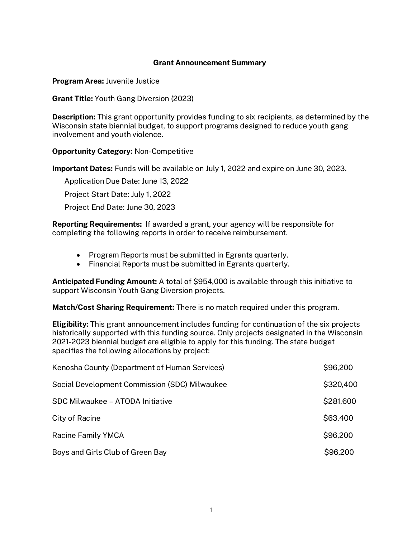### **Grant Announcement Summary**

**Program Area:** Juvenile Justice

**Grant Title:** Youth Gang Diversion (2023)

**Description:** This grant opportunity provides funding to six recipients, as determined by the Wisconsin state biennial budget, to support programs designed to reduce youth gang involvement and youth violence.

**Opportunity Category:** Non-Competitive

**Important Dates:** Funds will be available on July 1, 2022 and expire on June 30, 2023.

Application Due Date: June 13, 2022

Project Start Date: July 1, 2022

Project End Date: June 30, 2023

**Reporting Requirements:** If awarded a grant, your agency will be responsible for completing the following reports in order to receive reimbursement.

- Program Reports must be submitted in Egrants quarterly.
- Financial Reports must be submitted in Egrants quarterly.

**Anticipated Funding Amount:** A total of \$954,000 is available through this initiative to support Wisconsin Youth Gang Diversion projects.

**Match/Cost Sharing Requirement:** There is no match required under this program.

**Eligibility:** This grant announcement includes funding for continuation of the six projects historically supported with this funding source. Only projects designated in the Wisconsin 2021-2023 biennial budget are eligible to apply for this funding. The state budget specifies the following allocations by project:

| Kenosha County (Department of Human Services) | \$96,200  |
|-----------------------------------------------|-----------|
| Social Development Commission (SDC) Milwaukee | \$320,400 |
| SDC Milwaukee - ATODA Initiative              | \$281,600 |
| City of Racine                                | \$63,400  |
| <b>Racine Family YMCA</b>                     | \$96,200  |
| Boys and Girls Club of Green Bay              | \$96,200  |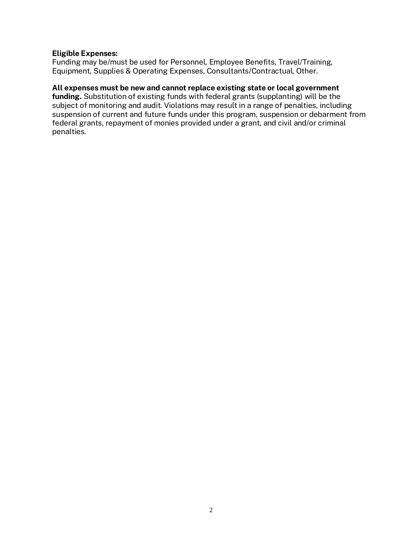#### **Eligible Expenses:**

Funding may be/must be used for Personnel, Employee Benefits, Travel/Training, Equipment, Supplies & Operating Expenses, Consultants/Contractual, Other.

#### **All expenses must be new and cannot replace existing state or local government**

**funding.** Substitution of existing funds with federal grants (supplanting) will be the subject of monitoring and audit. Violations may result in a range of penalties, including suspension of current and future funds under this program, suspension or debarment from federal grants, repayment of monies provided under a grant, and civil and/or criminal penalties.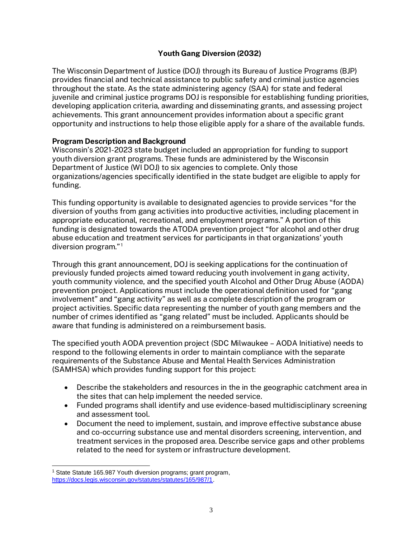## **Youth Gang Diversion (2032)**

The Wisconsin Department of Justice (DOJ) through its Bureau of Justice Programs (BJP) provides financial and technical assistance to public safety and criminal justice agencies throughout the state. As the state administering agency (SAA) for state and federal juvenile and criminal justice programs DOJ is responsible for establishing funding priorities, developing application criteria, awarding and disseminating grants, and assessing project achievements. This grant announcement provides information about a specific grant opportunity and instructions to help those eligible apply for a share of the available funds.

## **Program Description and Background**

Wisconsin's 2021-2023 state budget included an appropriation for funding to support youth diversion grant programs. These funds are administered by the Wisconsin Department of Justice (WI DOJ) to six agencies to complete. Only those organizations/agencies specifically identified in the state budget are eligible to apply for funding.

This funding opportunity is available to designated agencies to provide services "for the diversion of youths from gang activities into productive activities, including placement in appropriate educational, recreational, and employment programs." A portion of this funding is designated towards the ATODA prevention project "for alcohol and other drug abuse education and treatment services for participants in that organizations' youth diversion program."<sup>1</sup>

Through this grant announcement, DOJ is seeking applications for the continuation of previously funded projects aimed toward reducing youth involvement in gang activity, youth community violence, and the specified youth Alcohol and Other Drug Abuse (AODA) prevention project. Applications must include the operational definition used for "gang involvement" and "gang activity" as well as a complete description of the program or project activities. Specific data representing the number of youth gang members and the number of crimes identified as "gang related" must be included. Applicants should be aware that funding is administered on a reimbursement basis.

The specified youth AODA prevention project (SDC Milwaukee – AODA Initiative) needs to respond to the following elements in order to maintain compliance with the separate requirements of the Substance Abuse and Mental Health Services Administration (SAMHSA) which provides funding support for this project:

- Describe the stakeholders and resources in the in the geographic catchment area in the sites that can help implement the needed service.
- Funded programs shall identify and use evidence-based multidisciplinary screening and assessment tool.
- Document the need to implement, sustain, and improve effective substance abuse and co-occurring substance use and mental disorders screening, intervention, and treatment services in the proposed area. Describe service gaps and other problems related to the need for system or infrastructure development.

<sup>1</sup> State Statute 165.987 Youth diversion programs; grant program,

[https://docs.legis.wisconsin.gov/statutes/statutes/165/987/1.](https://docs.legis.wisconsin.gov/statutes/statutes/165/987/1)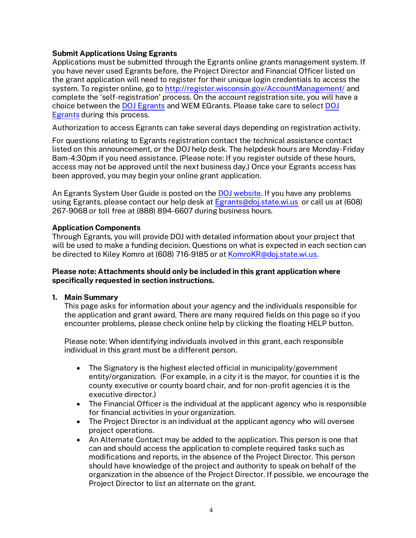## **Submit Applications Using Egrants**

Applications must be submitted through the Egrants online grants management system. If you have never used Egrants before, the Project Director and Financial Officer listed on the grant application will need to register for their unique login credentials to access the system. To register online, go t[o http://register.wisconsin.gov/AccountManagement/](http://register.wisconsin.gov/AccountManagement/) and complete the 'self-registration' process. On the account registration site, you will have a choice between the DOJ [Egrants](https://egrants.doj.state.wi.us/EGMIS.WEBUI/) and WEM EGrants. Please take care to selec[t DOJ](https://egrants.doj.state.wi.us/EGMIS.WEBUI/)  [Egrants](https://egrants.doj.state.wi.us/EGMIS.WEBUI/) during this process.

Authorization to access Egrants can take several days depending on registration activity.

For questions relating to Egrants registration contact the technical assistance contact listed on this announcement, or the DOJ help desk. The helpdesk hours are Monday-Friday 8am-4:30pm if you need assistance. (Please note: If you register outside of these hours, access may not be approved until the next business day.) Once your Egrants access has been approved, you may begin your online grant application.

An Egrants System User Guide is posted on the [DOJ website.](https://egrants.doj.state.wi.us/egmis/login.aspx) If you have any problems using Egrants, please contact our help desk at [Egrants@doj.state.wi.us](mailto:Egrants@doj.state.wi.us) or call us at (608) 267-9068 or toll free at (888) 894-6607 during business hours.

## **Application Components**

Through Egrants, you will provide DOJ with detailed information about your project that will be used to make a funding decision. Questions on what is expected in each section can be directed to Kiley Komro at (608) 716-9185 or at [KomroKR@doj.state.wi.us.](mailto:KomroKR@doj.state.wi.us)

#### **Please note: Attachments should only be included in this grant application where specifically requested in section instructions.**

#### **1. Main Summary**

This page asks for information about your agency and the individuals responsible for the application and grant award. There are many required fields on this page so if you encounter problems, please check online help by clicking the floating HELP button.

Please note: When identifying individuals involved in this grant, each responsible individual in this grant must be a different person.

- The Signatory is the highest elected official in municipality/government entity/organization. (For example, in a city it is the mayor, for counties it is the county executive or county board chair, and for non-profit agencies it is the executive director.)
- The Financial Officer is the individual at the applicant agency who is responsible for financial activities in your organization.
- The Project Director is an individual at the applicant agency who will oversee project operations.
- An Alternate Contact may be added to the application. This person is one that can and should access the application to complete required tasks such as modifications and reports, in the absence of the Project Director. This person should have knowledge of the project and authority to speak on behalf of the organization in the absence of the Project Director. If possible, we encourage the Project Director to list an alternate on the grant.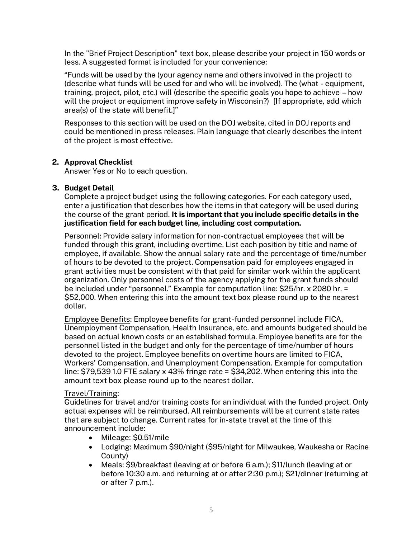In the "Brief Project Description" text box, please describe your project in 150 words or less. A suggested format is included for your convenience:

"Funds will be used by the (your agency name and others involved in the project) to (describe what funds will be used for and who will be involved). The (what - equipment, training, project, pilot, etc.) will (describe the specific goals you hope to achieve – how will the project or equipment improve safety in Wisconsin?) [If appropriate, add which area(s) of the state will benefit.]"

Responses to this section will be used on the DOJ website, cited in DOJ reports and could be mentioned in press releases. Plain language that clearly describes the intent of the project is most effective.

## **2. Approval Checklist**

Answer Yes or No to each question.

## **3. Budget Detail**

Complete a project budget using the following categories. For each category used, enter a justification that describes how the items in that category will be used during the course of the grant period. **It is important that you include specific details in the justification field for each budget line, including cost computation.**

Personnel: Provide salary information for non-contractual employees that will be funded through this grant, including overtime. List each position by title and name of employee, if available. Show the annual salary rate and the percentage of time/number of hours to be devoted to the project. Compensation paid for employees engaged in grant activities must be consistent with that paid for similar work within the applicant organization. Only personnel costs of the agency applying for the grant funds should be included under "personnel." Example for computation line: \$25/hr. x 2080 hr. = \$52,000. When entering this into the amount text box please round up to the nearest dollar.

Employee Benefits: Employee benefits for grant-funded personnel include FICA, Unemployment Compensation, Health Insurance, etc. and amounts budgeted should be based on actual known costs or an established formula. Employee benefits are for the personnel listed in the budget and only for the percentage of time/number of hours devoted to the project. Employee benefits on overtime hours are limited to FICA, Workers' Compensation, and Unemployment Compensation. Example for computation line: \$79,539 1.0 FTE salary x 43% fringe rate = \$34,202. When entering this into the amount text box please round up to the nearest dollar.

#### Travel/Training:

Guidelines for travel and/or training costs for an individual with the funded project. Only actual expenses will be reimbursed. All reimbursements will be at current state rates that are subject to change. Current rates for in-state travel at the time of this announcement include:

- Mileage: \$0.51/mile
- Lodging: Maximum \$90/night (\$95/night for Milwaukee, Waukesha or Racine County)
- Meals: \$9/breakfast (leaving at or before 6 a.m.); \$11/lunch (leaving at or before 10:30 a.m. and returning at or after 2:30 p.m.); \$21/dinner (returning at or after 7 p.m.).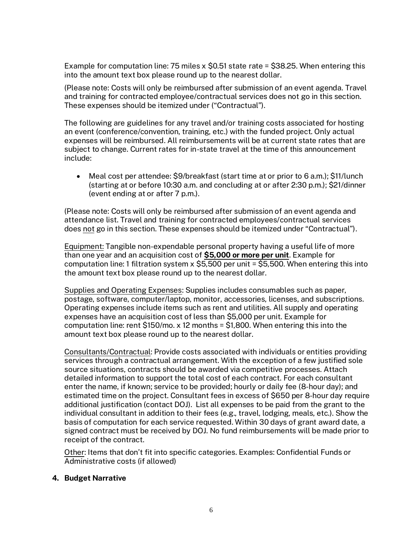Example for computation line: 75 miles x \$0.51 state rate = \$38.25. When entering this into the amount text box please round up to the nearest dollar.

(Please note: Costs will only be reimbursed after submission of an event agenda. Travel and training for contracted employee/contractual services does not go in this section. These expenses should be itemized under ("Contractual").

The following are guidelines for any travel and/or training costs associated for hosting an event (conference/convention, training, etc.) with the funded project. Only actual expenses will be reimbursed. All reimbursements will be at current state rates that are subject to change. Current rates for in-state travel at the time of this announcement include:

• Meal cost per attendee: \$9/breakfast (start time at or prior to 6 a.m.); \$11/lunch (starting at or before 10:30 a.m. and concluding at or after 2:30 p.m.); \$21/dinner (event ending at or after 7 p.m.).

(Please note: Costs will only be reimbursed after submission of an event agenda and attendance list. Travel and training for contracted employees/contractual services does not go in this section. These expenses should be itemized under "Contractual").

Equipment: Tangible non-expendable personal property having a useful life of more than one year and an acquisition cost of **\$5,000 or more per unit**. Example for computation line: 1 filtration system x \$5,500 per unit = \$5,500. When entering this into the amount text box please round up to the nearest dollar.

Supplies and Operating Expenses: Supplies includes consumables such as paper, postage, software, computer/laptop, monitor, accessories, licenses, and subscriptions. Operating expenses include items such as rent and utilities. All supply and operating expenses have an acquisition cost of less than \$5,000 per unit. Example for computation line: rent \$150/mo. x 12 months = \$1,800. When entering this into the amount text box please round up to the nearest dollar.

Consultants/Contractual: Provide costs associated with individuals or entities providing services through a contractual arrangement. With the exception of a few justified sole source situations, contracts should be awarded via competitive processes. Attach detailed information to support the total cost of each contract. For each consultant enter the name, if known; service to be provided; hourly or daily fee (8-hour day); and estimated time on the project. Consultant fees in excess of \$650 per 8-hour day require additional justification (contact DOJ). List all expenses to be paid from the grant to the individual consultant in addition to their fees (e.g., travel, lodging, meals, etc.). Show the basis of computation for each service requested. Within 30 days of grant award date, a signed contract must be received by DOJ. No fund reimbursements will be made prior to receipt of the contract.

Other: Items that don't fit into specific categories. Examples: Confidential Funds or Administrative costs (if allowed)

#### **4. Budget Narrative**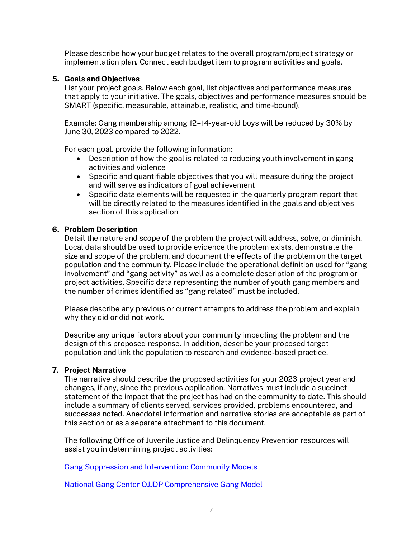Please describe how your budget relates to the overall program/project strategy or implementation plan*.* Connect each budget item to program activities and goals.

## **5. Goals and Objectives**

List your project goals. Below each goal, list objectives and performance measures that apply to your initiative. The goals, objectives and performance measures should be SMART (specific, measurable, attainable, realistic, and time-bound).

Example: Gang membership among 12–14-year-old boys will be reduced by 30% by June 30, 2023 compared to 2022.

For each goal, provide the following information:

- Description of how the goal is related to reducing youth involvement in gang activities and violence
- Specific and quantifiable objectives that you will measure during the project and will serve as indicators of goal achievement
- Specific data elements will be requested in the quarterly program report that will be directly related to the measures identified in the goals and objectives section of this application

## **6. Problem Description**

Detail the nature and scope of the problem the project will address, solve, or diminish. Local data should be used to provide evidence the problem exists, demonstrate the size and scope of the problem, and document the effects of the problem on the target population and the community. Please include the operational definition used for "gang involvement" and "gang activity" as well as a complete description of the program or project activities. Specific data representing the number of youth gang members and the number of crimes identified as "gang related" must be included.

Please describe any previous or current attempts to address the problem and explain why they did or did not work.

Describe any unique factors about your community impacting the problem and the design of this proposed response. In addition, describe your proposed target population and link the population to research and evidence-based practice.

#### **7. Project Narrative**

The narrative should describe the proposed activities for your 2023 project year and changes, if any, since the previous application. Narratives must include a succinct statement of the impact that the project has had on the community to date. This should include a summary of clients served, services provided, problems encountered, and successes noted. Anecdotal information and narrative stories are acceptable as part of this section or as a separate attachment to this document.

The following Office of Juvenile Justice and Delinquency Prevention resources will assist you in determining project activities:

[Gang Suppression and Intervention: Community Models](https://www.ojp.gov/pdffiles/gangcorr.pdf)

[National Gang Center OJJDP Comprehensive Gang Model](https://www.nationalgangcenter.gov/Comprehensive-Gang-Model)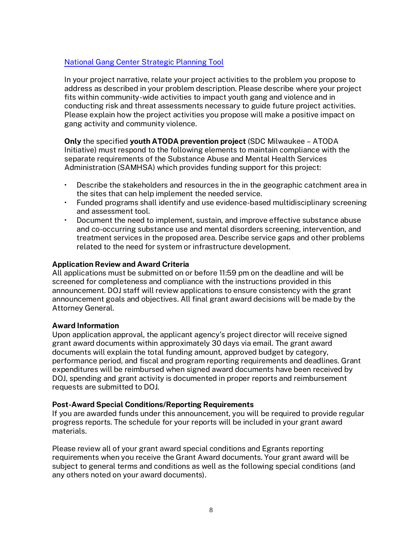## [National Gang Center Strategic Planning Tool](https://www.nationalgangcenter.gov/What-Works/#strategic)

In your project narrative, relate your project activities to the problem you propose to address as described in your problem description. Please describe where your project fits within community-wide activities to impact youth gang and violence and in conducting risk and threat assessments necessary to guide future project activities. Please explain how the project activities you propose will make a positive impact on gang activity and community violence.

**Only** the specified **youth ATODA prevention project** (SDC Milwaukee – ATODA Initiative) must respond to the following elements to maintain compliance with the separate requirements of the Substance Abuse and Mental Health Services Administration (SAMHSA) which provides funding support for this project:

- Describe the stakeholders and resources in the in the geographic catchment area in the sites that can help implement the needed service.
- Funded programs shall identify and use evidence-based multidisciplinary screening and assessment tool.
- Document the need to implement, sustain, and improve effective substance abuse and co-occurring substance use and mental disorders screening, intervention, and treatment services in the proposed area. Describe service gaps and other problems related to the need for system or infrastructure development.

#### **Application Review and Award Criteria**

All applications must be submitted on or before 11:59 pm on the deadline and will be screened for completeness and compliance with the instructions provided in this announcement. DOJ staff will review applications to ensure consistency with the grant announcement goals and objectives. All final grant award decisions will be made by the Attorney General.

#### **Award Information**

Upon application approval, the applicant agency's project director will receive signed grant award documents within approximately 30 days via email. The grant award documents will explain the total funding amount, approved budget by category, performance period, and fiscal and program reporting requirements and deadlines. Grant expenditures will be reimbursed when signed award documents have been received by DOJ, spending and grant activity is documented in proper reports and reimbursement requests are submitted to DOJ.

#### **Post-Award Special Conditions/Reporting Requirements**

If you are awarded funds under this announcement, you will be required to provide regular progress reports. The schedule for your reports will be included in your grant award materials.

Please review all of your grant award special conditions and Egrants reporting requirements when you receive the Grant Award documents. Your grant award will be subject to general terms and conditions as well as the following special conditions (and any others noted on your award documents).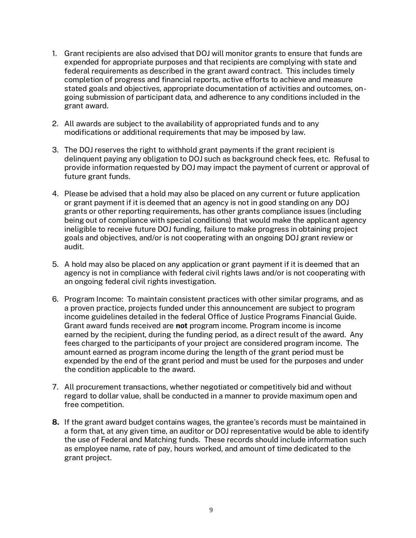- 1. Grant recipients are also advised that DOJ will monitor grants to ensure that funds are expended for appropriate purposes and that recipients are complying with state and federal requirements as described in the grant award contract. This includes timely completion of progress and financial reports, active efforts to achieve and measure stated goals and objectives, appropriate documentation of activities and outcomes, ongoing submission of participant data, and adherence to any conditions included in the grant award.
- 2. All awards are subject to the availability of appropriated funds and to any modifications or additional requirements that may be imposed by law.
- 3. The DOJ reserves the right to withhold grant payments if the grant recipient is delinquent paying any obligation to DOJ such as background check fees, etc. Refusal to provide information requested by DOJ may impact the payment of current or approval of future grant funds.
- 4. Please be advised that a hold may also be placed on any current or future application or grant payment if it is deemed that an agency is not in good standing on any DOJ grants or other reporting requirements, has other grants compliance issues (including being out of compliance with special conditions) that would make the applicant agency ineligible to receive future DOJ funding, failure to make progress in obtaining project goals and objectives, and/or is not cooperating with an ongoing DOJ grant review or audit.
- 5. A hold may also be placed on any application or grant payment if it is deemed that an agency is not in compliance with federal civil rights laws and/or is not cooperating with an ongoing federal civil rights investigation.
- 6. Program Income: To maintain consistent practices with other similar programs, and as a proven practice, projects funded under this announcement are subject to program income guidelines detailed in the federal Office of Justice Programs Financial Guide. Grant award funds received are **not** program income. Program income is income earned by the recipient, during the funding period, as a direct result of the award. Any fees charged to the participants of your project are considered program income. The amount earned as program income during the length of the grant period must be expended by the end of the grant period and must be used for the purposes and under the condition applicable to the award.
- 7. All procurement transactions, whether negotiated or competitively bid and without regard to dollar value, shall be conducted in a manner to provide maximum open and free competition.
- **8.** If the grant award budget contains wages, the grantee's records must be maintained in a form that, at any given time, an auditor or DOJ representative would be able to identify the use of Federal and Matching funds. These records should include information such as employee name, rate of pay, hours worked, and amount of time dedicated to the grant project.